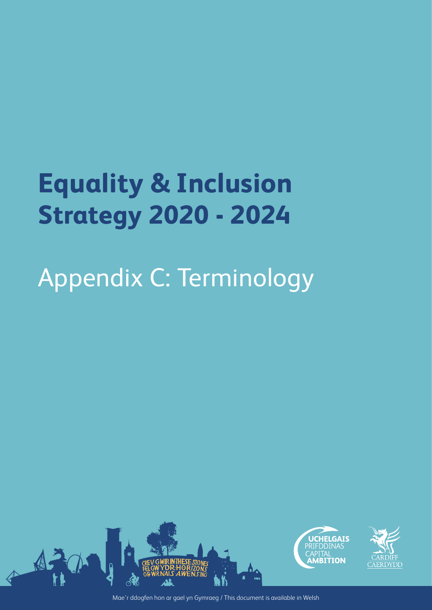## **Equality & Inclusion Strategy 2020 - 2024**

## Appendix C: Terminology



Mae'r ddogfen hon ar gael yn Gymraeg / This document is available in Welsh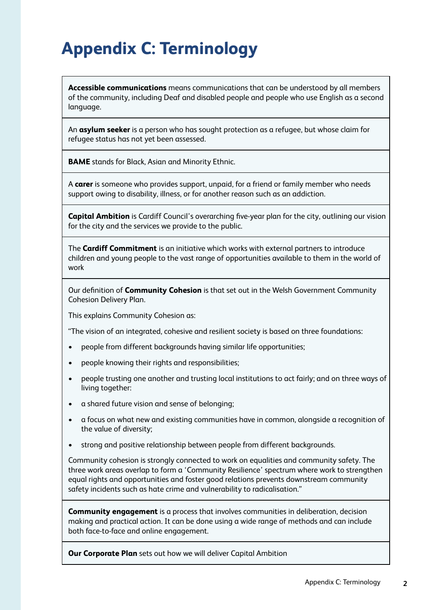## **Appendix C: Terminology**

**Accessible communications** means communications that can be understood by all members of the community, including Deaf and disabled people and people who use English as a second language.

An **asylum seeker** is a person who has sought protection as a refugee, but whose claim for refugee status has not yet been assessed.

**BAME** stands for Black, Asian and Minority Ethnic.

A **carer** is someone who provides support, unpaid, for a friend or family member who needs support owing to disability, illness, or for another reason such as an addiction.

**Capital Ambition** is Cardiff Council's overarching five-year plan for the city, outlining our vision for the city and the services we provide to the public.

The **Cardiff Commitment** is an initiative which works with external partners to introduce children and young people to the vast range of opportunities available to them in the world of work

Our definition of **Community Cohesion** is that set out in the Welsh Government Community Cohesion Delivery Plan.

This explains Community Cohesion as:

"The vision of an integrated, cohesive and resilient society is based on three foundations:

- people from different backgrounds having similar life opportunities;
- people knowing their rights and responsibilities;
- people trusting one another and trusting local institutions to act fairly; and on three ways of living together:
- a shared future vision and sense of belonging;
- a focus on what new and existing communities have in common, alongside a recognition of the value of diversity;
- strong and positive relationship between people from different backgrounds.

Community cohesion is strongly connected to work on equalities and community safety. The three work areas overlap to form a 'Community Resilience' spectrum where work to strengthen equal rights and opportunities and foster good relations prevents downstream community safety incidents such as hate crime and vulnerability to radicalisation."

**Community engagement** is a process that involves communities in deliberation, decision making and practical action. It can be done using a wide range of methods and can include both face-to-face and online engagement.

**Our Corporate Plan** sets out how we will deliver Capital Ambition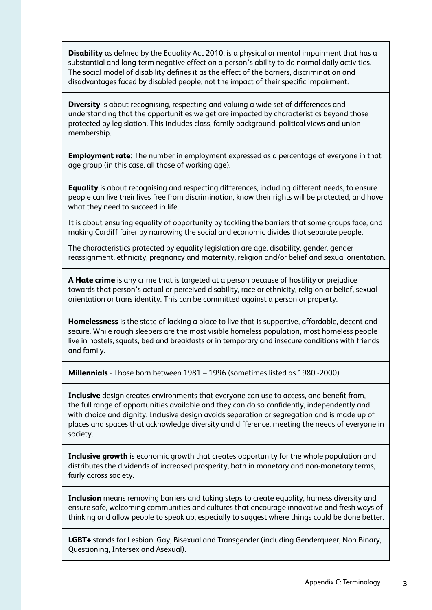**Disability** as defined by the Equality Act 2010, is a physical or mental impairment that has a substantial and long-term negative effect on a person's ability to do normal daily activities. The social model of disability defines it as the effect of the barriers, discrimination and disadvantages faced by disabled people, not the impact of their specific impairment.

**Diversity** is about recognising, respecting and valuing a wide set of differences and understanding that the opportunities we get are impacted by characteristics beyond those protected by legislation. This includes class, family background, political views and union membership.

**Employment rate**: The number in employment expressed as a percentage of everyone in that age group (in this case, all those of working age).

**Equality** is about recognising and respecting differences, including different needs, to ensure people can live their lives free from discrimination, know their rights will be protected, and have what they need to succeed in life.

It is about ensuring equality of opportunity by tackling the barriers that some groups face, and making Cardiff fairer by narrowing the social and economic divides that separate people.

The characteristics protected by equality legislation are age, disability, gender, gender reassignment, ethnicity, pregnancy and maternity, religion and/or belief and sexual orientation.

**A Hate crime** is any crime that is targeted at a person because of hostility or prejudice towards that person's actual or perceived disability, race or ethnicity, religion or belief, sexual orientation or trans identity. This can be committed against a person or property.

**Homelessness** is the state of lacking a place to live that is supportive, affordable, decent and secure. While rough sleepers are the most visible homeless population, most homeless people live in hostels, squats, bed and breakfasts or in temporary and insecure conditions with friends and family.

**Millennials** - Those born between 1981 – 1996 (sometimes listed as 1980 -2000)

**Inclusive** design creates environments that everyone can use to access, and benefit from, the full range of opportunities available and they can do so confidently, independently and with choice and dignity. Inclusive design avoids separation or segregation and is made up of places and spaces that acknowledge diversity and difference, meeting the needs of everyone in society.

**Inclusive growth** is economic growth that creates opportunity for the whole population and distributes the dividends of increased prosperity, both in monetary and non-monetary terms, fairly across society.

**Inclusion** means removing barriers and taking steps to create equality, harness diversity and ensure safe, welcoming communities and cultures that encourage innovative and fresh ways of thinking and allow people to speak up, especially to suggest where things could be done better.

**LGBT+** stands for Lesbian, Gay, Bisexual and Transgender (including Genderqueer, Non Binary, Questioning, Intersex and Asexual).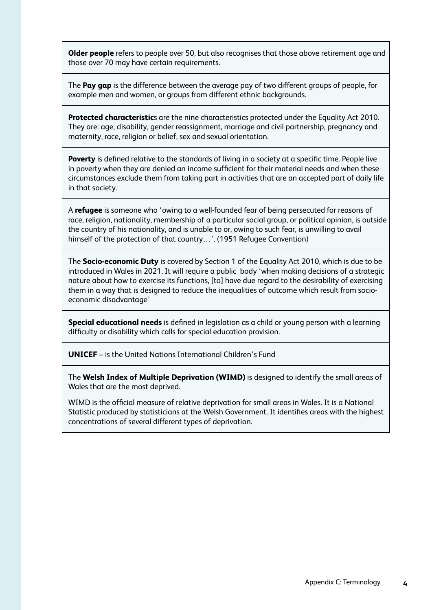**Older people** refers to people over 50, but also recognises that those above retirement age and those over 70 may have certain requirements.

The **Pay gap** is the difference between the average pay of two different groups of people, for example men and women, or groups from different ethnic backgrounds.

**Protected characteristic**s are the nine characteristics protected under the Equality Act 2010. They are: age, disability, gender reassignment, marriage and civil partnership, pregnancy and maternity, race, religion or belief, sex and sexual orientation.

**Poverty** is defined relative to the standards of living in a society at a specific time. People live in poverty when they are denied an income sufficient for their material needs and when these circumstances exclude them from taking part in activities that are an accepted part of daily life in that society.

A **refugee** is someone who 'owing to a well-founded fear of being persecuted for reasons of race, religion, nationality, membership of a particular social group, or political opinion, is outside the country of his nationality, and is unable to or, owing to such fear, is unwilling to avail himself of the protection of that country...'. (1951 Refugee Convention)

The **Socio-economic Duty** is covered by Section 1 of the Equality Act 2010, which is due to be introduced in Wales in 2021. It will require a public body 'when making decisions of a strategic nature about how to exercise its functions, [to] have due regard to the desirability of exercising them in a way that is designed to reduce the inequalities of outcome which result from socioeconomic disadvantage'

**Special educational needs** is defined in legislation as a child or young person with a learning difficulty or disability which calls for special education provision.

**UNICEF** – is the United Nations International Children's Fund

The **Welsh Index of Multiple Deprivation (WIMD)** is designed to identify the small areas of Wales that are the most deprived.

WIMD is the official measure of relative deprivation for small areas in Wales. It is a National Statistic produced by statisticians at the Welsh Government. It identifies areas with the highest concentrations of several different types of deprivation.